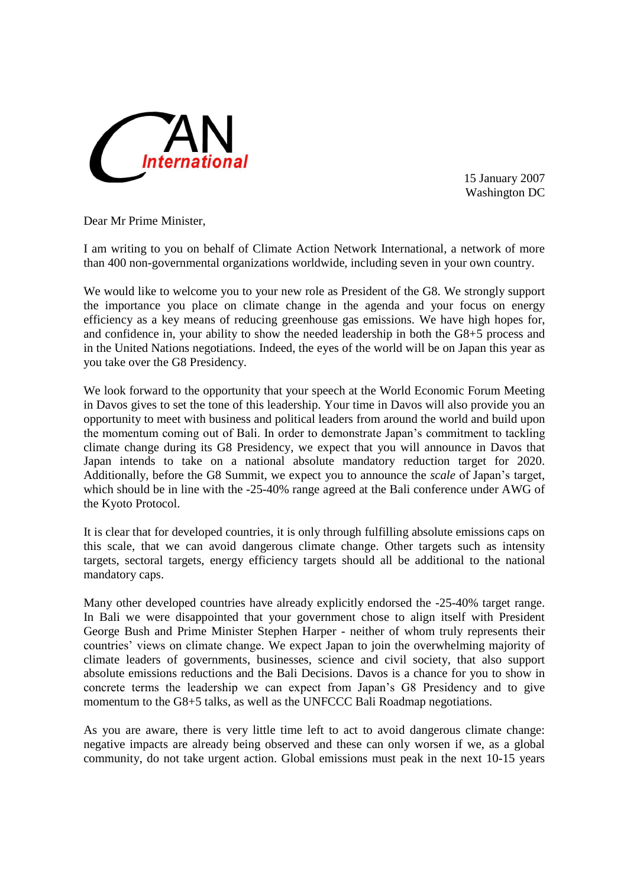

15 January 2007 Washington DC

Dear Mr Prime Minister,

I am writing to you on behalf of Climate Action Network International, a network of more than 400 non-governmental organizations worldwide, including seven in your own country.

We would like to welcome you to your new role as President of the G8. We strongly support the importance you place on climate change in the agenda and your focus on energy efficiency as a key means of reducing greenhouse gas emissions. We have high hopes for, and confidence in, your ability to show the needed leadership in both the G8+5 process and in the United Nations negotiations. Indeed, the eyes of the world will be on Japan this year as you take over the G8 Presidency.

We look forward to the opportunity that your speech at the World Economic Forum Meeting in Davos gives to set the tone of this leadership. Your time in Davos will also provide you an opportunity to meet with business and political leaders from around the world and build upon the momentum coming out of Bali. In order to demonstrate Japan's commitment to tackling climate change during its G8 Presidency, we expect that you will announce in Davos that Japan intends to take on a national absolute mandatory reduction target for 2020. Additionally, before the G8 Summit, we expect you to announce the *scale* of Japan's target, which should be in line with the -25-40% range agreed at the Bali conference under AWG of the Kyoto Protocol.

It is clear that for developed countries, it is only through fulfilling absolute emissions caps on this scale, that we can avoid dangerous climate change. Other targets such as intensity targets, sectoral targets, energy efficiency targets should all be additional to the national mandatory caps.

Many other developed countries have already explicitly endorsed the -25-40% target range. In Bali we were disappointed that your government chose to align itself with President George Bush and Prime Minister Stephen Harper - neither of whom truly represents their countries' views on climate change. We expect Japan to join the overwhelming majority of climate leaders of governments, businesses, science and civil society, that also support absolute emissions reductions and the Bali Decisions. Davos is a chance for you to show in concrete terms the leadership we can expect from Japan's G8 Presidency and to give momentum to the G8+5 talks, as well as the UNFCCC Bali Roadmap negotiations.

As you are aware, there is very little time left to act to avoid dangerous climate change: negative impacts are already being observed and these can only worsen if we, as a global community, do not take urgent action. Global emissions must peak in the next 10-15 years